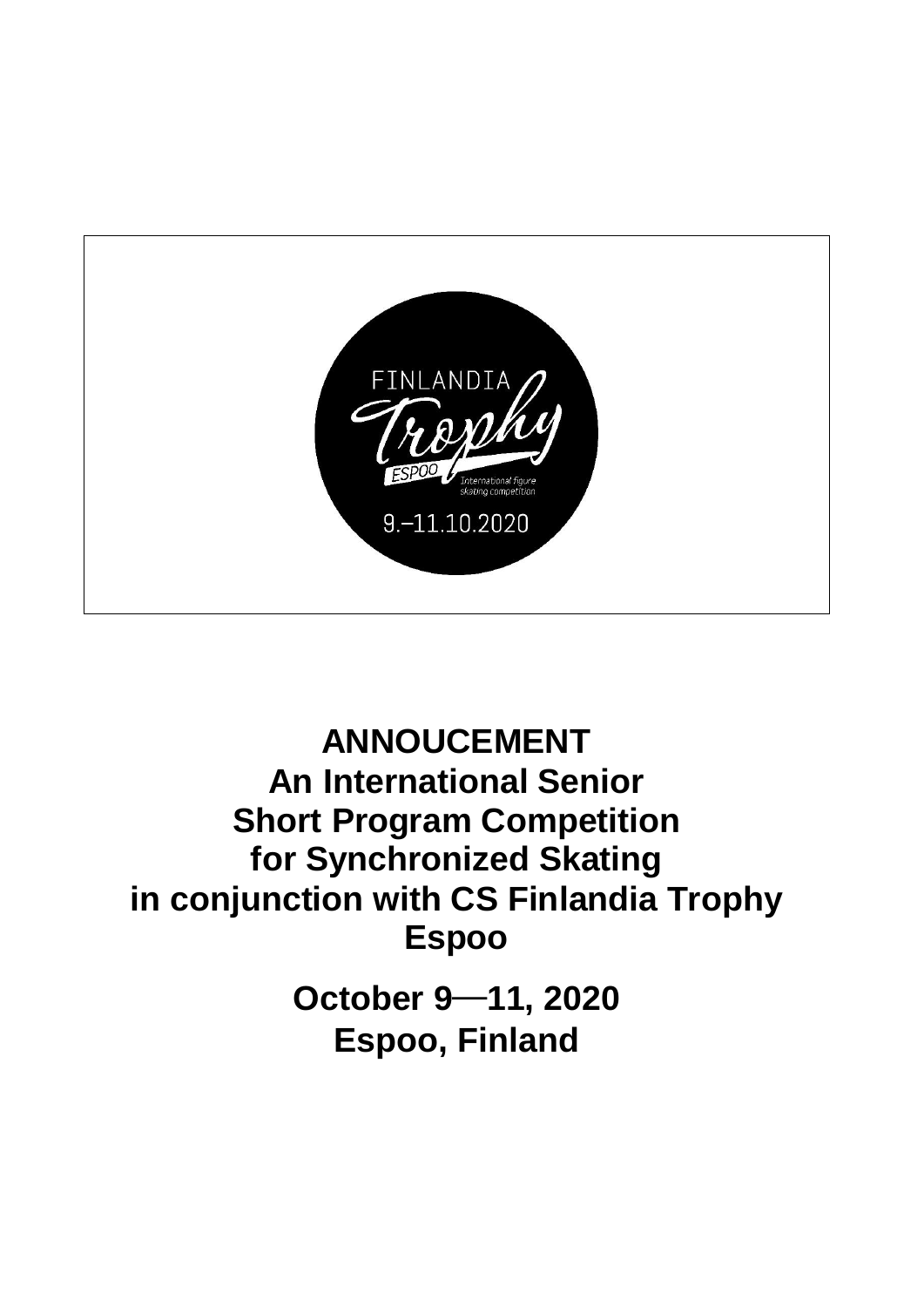

# **ANNOUCEMENT An International Senior Short Program Competition for Synchronized Skating in conjunction with CS Finlandia Trophy Espoo**

**October 9**─**11, 2020 Espoo, Finland**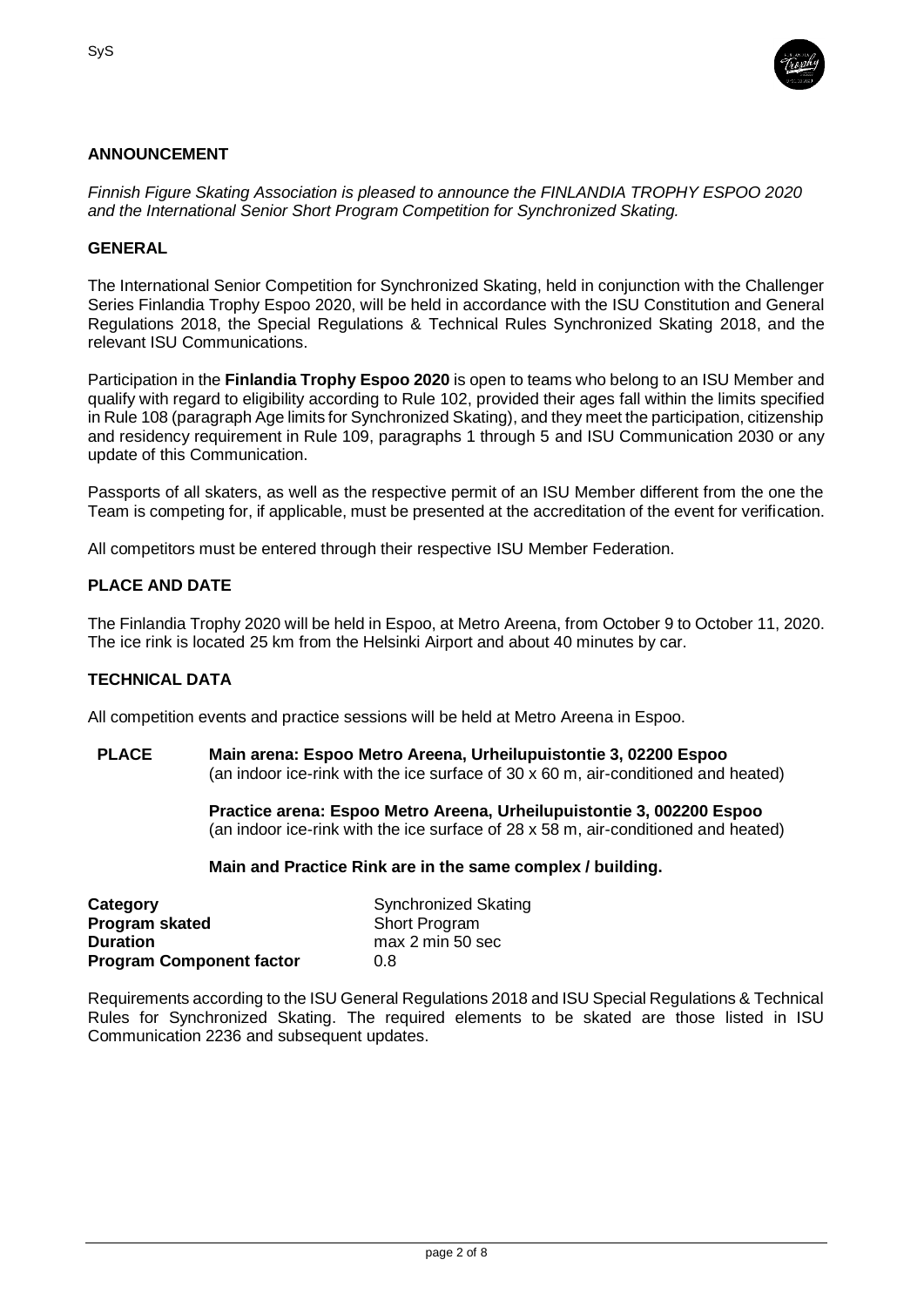

# **ANNOUNCEMENT**

*Finnish Figure Skating Association is pleased to announce the FINLANDIA TROPHY ESPOO 2020 and the International Senior Short Program Competition for Synchronized Skating.*

## **GENERAL**

The International Senior Competition for Synchronized Skating, held in conjunction with the Challenger Series Finlandia Trophy Espoo 2020, will be held in accordance with the ISU Constitution and General Regulations 2018, the Special Regulations & Technical Rules Synchronized Skating 2018, and the relevant ISU Communications.

Participation in the **Finlandia Trophy Espoo 2020** is open to teams who belong to an ISU Member and qualify with regard to eligibility according to Rule 102, provided their ages fall within the limits specified in Rule 108 (paragraph Age limits for Synchronized Skating), and they meet the participation, citizenship and residency requirement in Rule 109, paragraphs 1 through 5 and ISU Communication 2030 or any update of this Communication.

Passports of all skaters, as well as the respective permit of an ISU Member different from the one the Team is competing for, if applicable, must be presented at the accreditation of the event for verification.

All competitors must be entered through their respective ISU Member Federation.

## **PLACE AND DATE**

The Finlandia Trophy 2020 will be held in Espoo, at Metro Areena, from October 9 to October 11, 2020. The ice rink is located 25 km from the Helsinki Airport and about 40 minutes by car.

#### **TECHNICAL DATA**

All competition events and practice sessions will be held at Metro Areena in Espoo.

**PLACE Main arena: Espoo Metro Areena, Urheilupuistontie 3, 02200 Espoo** (an indoor ice-rink with the ice surface of 30 x 60 m, air-conditioned and heated)

> **Practice arena: Espoo Metro Areena, Urheilupuistontie 3, 002200 Espoo** (an indoor ice-rink with the ice surface of 28 x 58 m, air-conditioned and heated)

#### **Main and Practice Rink are in the same complex / building.**

| Category                        | <b>Synchronized Skating</b> |
|---------------------------------|-----------------------------|
| Program skated                  | <b>Short Program</b>        |
| <b>Duration</b>                 | max 2 min 50 sec            |
| <b>Program Component factor</b> | 0.8                         |

Requirements according to the ISU General Regulations 2018 and ISU Special Regulations & Technical Rules for Synchronized Skating. The required elements to be skated are those listed in ISU Communication 2236 and subsequent updates.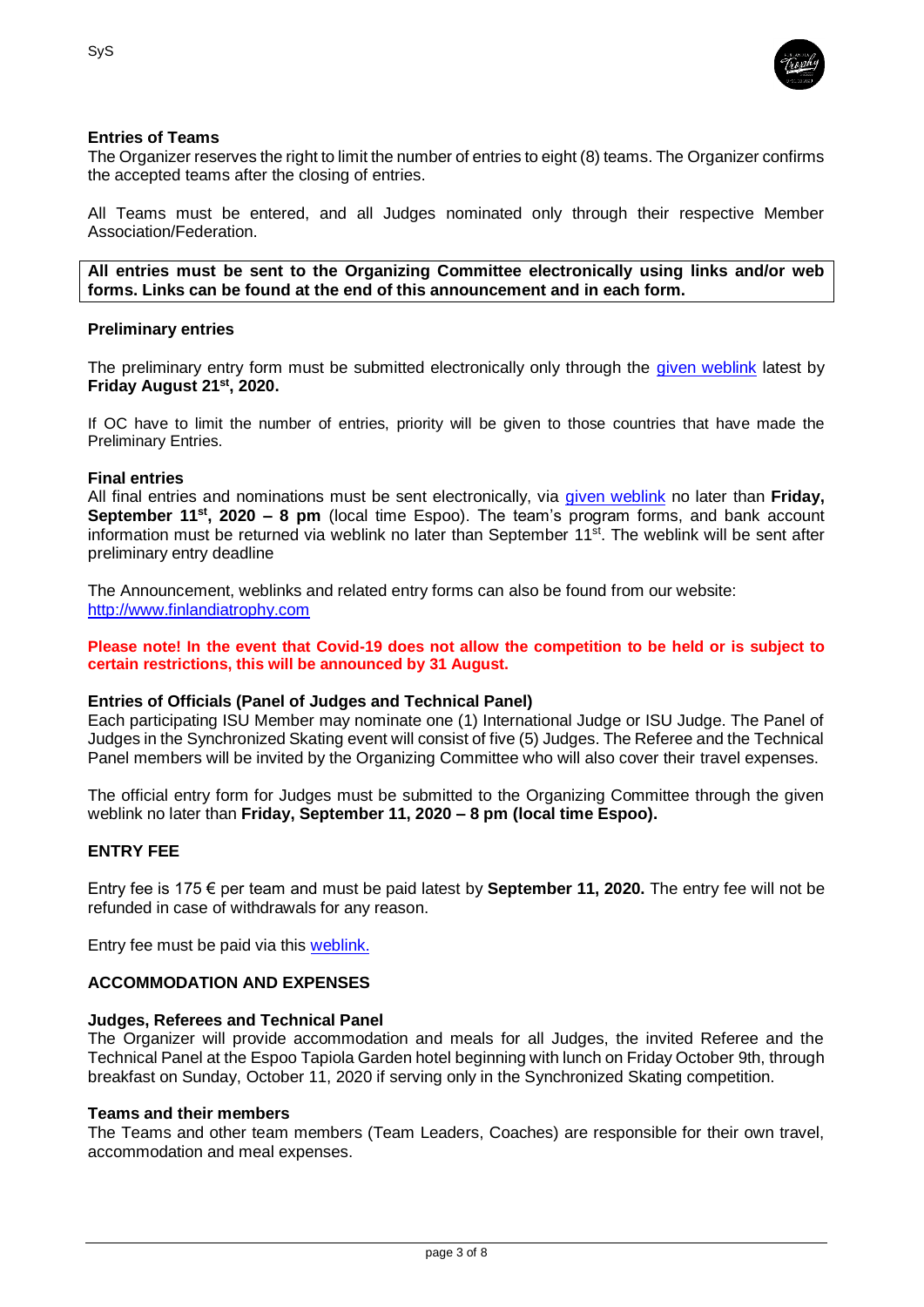

## **Entries of Teams**

The Organizer reserves the right to limit the number of entries to eight (8) teams. The Organizer confirms the accepted teams after the closing of entries.

All Teams must be entered, and all Judges nominated only through their respective Member Association/Federation.

**All entries must be sent to the Organizing Committee electronically using links and/or web forms. Links can be found at the end of this announcement and in each form.**

#### **Preliminary entries**

The preliminary entry form must be submitted electronically only through the [given weblink](https://www.lyyti.fi/reg/FT2020_Synchro_Skating_Preliminary_and_Entry_Form_9983) latest by **Friday August 21st, 2020.**

If OC have to limit the number of entries, priority will be given to those countries that have made the Preliminary Entries.

#### **Final entries**

All final entries and nominations must be sent electronically, via [given weblink](https://www.lyyti.fi/reg/FT2020_Synchro_Skating_Preliminary_and_Entry_Form_9983) no later than **Friday, September 11st , 2020 – 8 pm** (local time Espoo). The team's program forms, and bank account information must be returned via weblink no later than September 11<sup>st</sup>. The weblink will be sent after preliminary entry deadline

The Announcement, weblinks and related entry forms can also be found from our website: [http://www.finlandiatrophy.com](http://www.finlandiatrophy.com/)

**Please note! In the event that Covid-19 does not allow the competition to be held or is subject to certain restrictions, this will be announced by 31 August.**

#### **Entries of Officials (Panel of Judges and Technical Panel)**

Each participating ISU Member may nominate one (1) International Judge or ISU Judge. The Panel of Judges in the Synchronized Skating event will consist of five (5) Judges. The Referee and the Technical Panel members will be invited by the Organizing Committee who will also cover their travel expenses.

The official entry form for Judges must be submitted to the Organizing Committee through the given weblink no later than **Friday, September 11, 2020 – 8 pm (local time Espoo).**

#### **ENTRY FEE**

Entry fee is 175 € per team and must be paid latest by **September 11, 2020.** The entry fee will not be refunded in case of withdrawals for any reason.

Entry fee must be paid via this [weblink.](https://www.lyyti.fi/reg/FT2020_CS_Entry_Fee_for_Competitors_6095)

#### **ACCOMMODATION AND EXPENSES**

#### **Judges, Referees and Technical Panel**

The Organizer will provide accommodation and meals for all Judges, the invited Referee and the Technical Panel at the Espoo Tapiola Garden hotel beginning with lunch on Friday October 9th, through breakfast on Sunday, October 11, 2020 if serving only in the Synchronized Skating competition.

#### **Teams and their members**

The Teams and other team members (Team Leaders, Coaches) are responsible for their own travel, accommodation and meal expenses.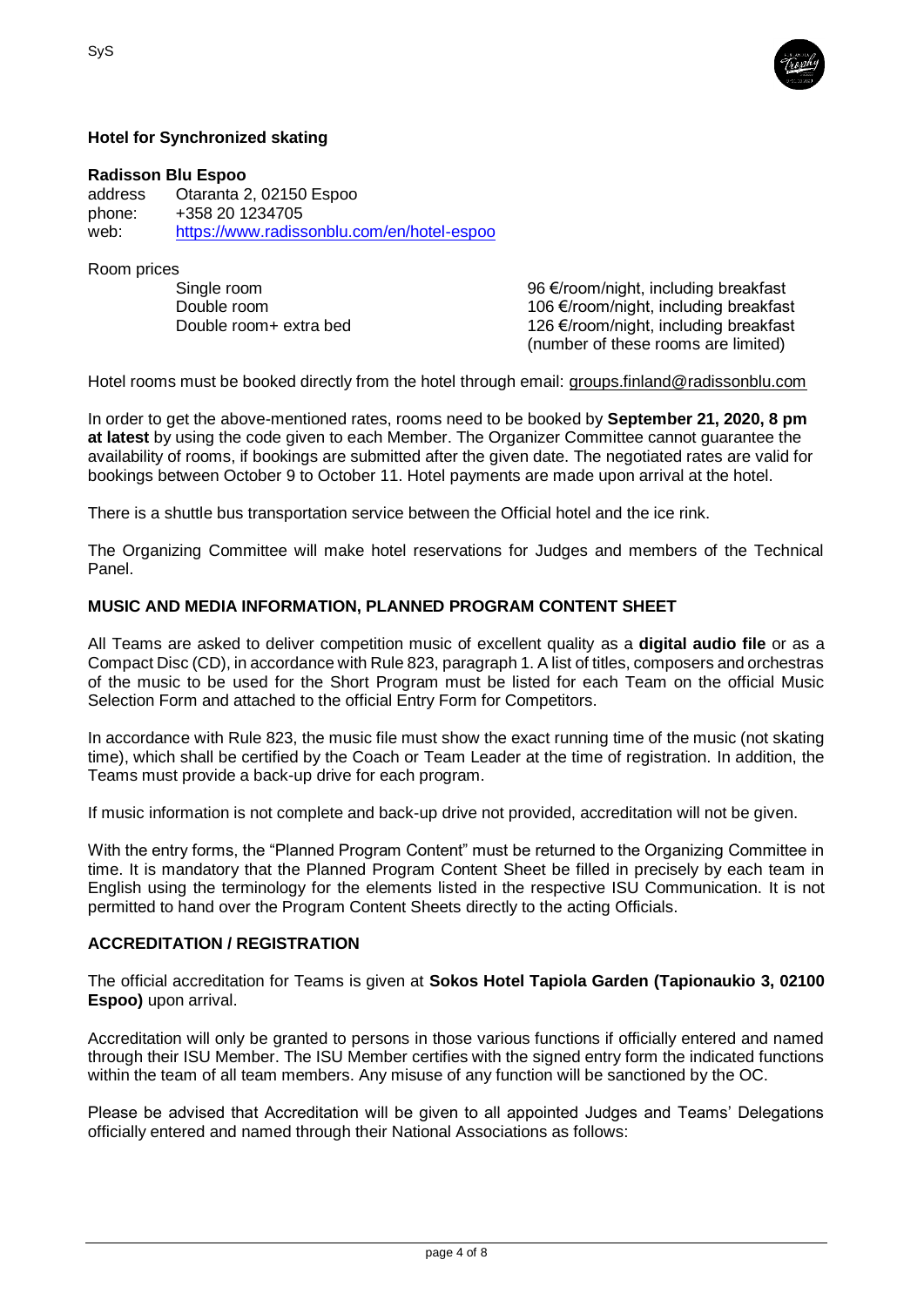

# **Hotel for Synchronized skating**

## **Radisson Blu Espoo**

address Otaranta 2, 02150 Espoo phone: +358 20 1234705 web: <https://www.radissonblu.com/en/hotel-espoo>

Room prices

Single room 96 €/room/night, including breakfast Double room 106 €/room/night, including breakfast Double room+ extra bed 126 €/room/night, including breakfast (number of these rooms are limited)

Hotel rooms must be booked directly from the hotel through email: [groups.finland@radissonblu.com](mailto:groups.finland@radissonblu.com)

In order to get the above-mentioned rates, rooms need to be booked by **September 21, 2020, 8 pm at latest** by using the code given to each Member. The Organizer Committee cannot guarantee the availability of rooms, if bookings are submitted after the given date. The negotiated rates are valid for bookings between October 9 to October 11. Hotel payments are made upon arrival at the hotel.

There is a shuttle bus transportation service between the Official hotel and the ice rink.

The Organizing Committee will make hotel reservations for Judges and members of the Technical Panel.

## **MUSIC AND MEDIA INFORMATION, PLANNED PROGRAM CONTENT SHEET**

All Teams are asked to deliver competition music of excellent quality as a **digital audio file** or as a Compact Disc (CD), in accordance with Rule 823, paragraph 1. A list of titles, composers and orchestras of the music to be used for the Short Program must be listed for each Team on the official Music Selection Form and attached to the official Entry Form for Competitors.

In accordance with Rule 823, the music file must show the exact running time of the music (not skating time), which shall be certified by the Coach or Team Leader at the time of registration. In addition, the Teams must provide a back-up drive for each program.

If music information is not complete and back-up drive not provided, accreditation will not be given.

With the entry forms, the "Planned Program Content" must be returned to the Organizing Committee in time. It is mandatory that the Planned Program Content Sheet be filled in precisely by each team in English using the terminology for the elements listed in the respective ISU Communication. It is not permitted to hand over the Program Content Sheets directly to the acting Officials.

#### **ACCREDITATION / REGISTRATION**

The official accreditation for Teams is given at **Sokos Hotel Tapiola Garden (Tapionaukio 3, 02100 Espoo)** upon arrival.

Accreditation will only be granted to persons in those various functions if officially entered and named through their ISU Member. The ISU Member certifies with the signed entry form the indicated functions within the team of all team members. Any misuse of any function will be sanctioned by the OC.

Please be advised that Accreditation will be given to all appointed Judges and Teams' Delegations officially entered and named through their National Associations as follows: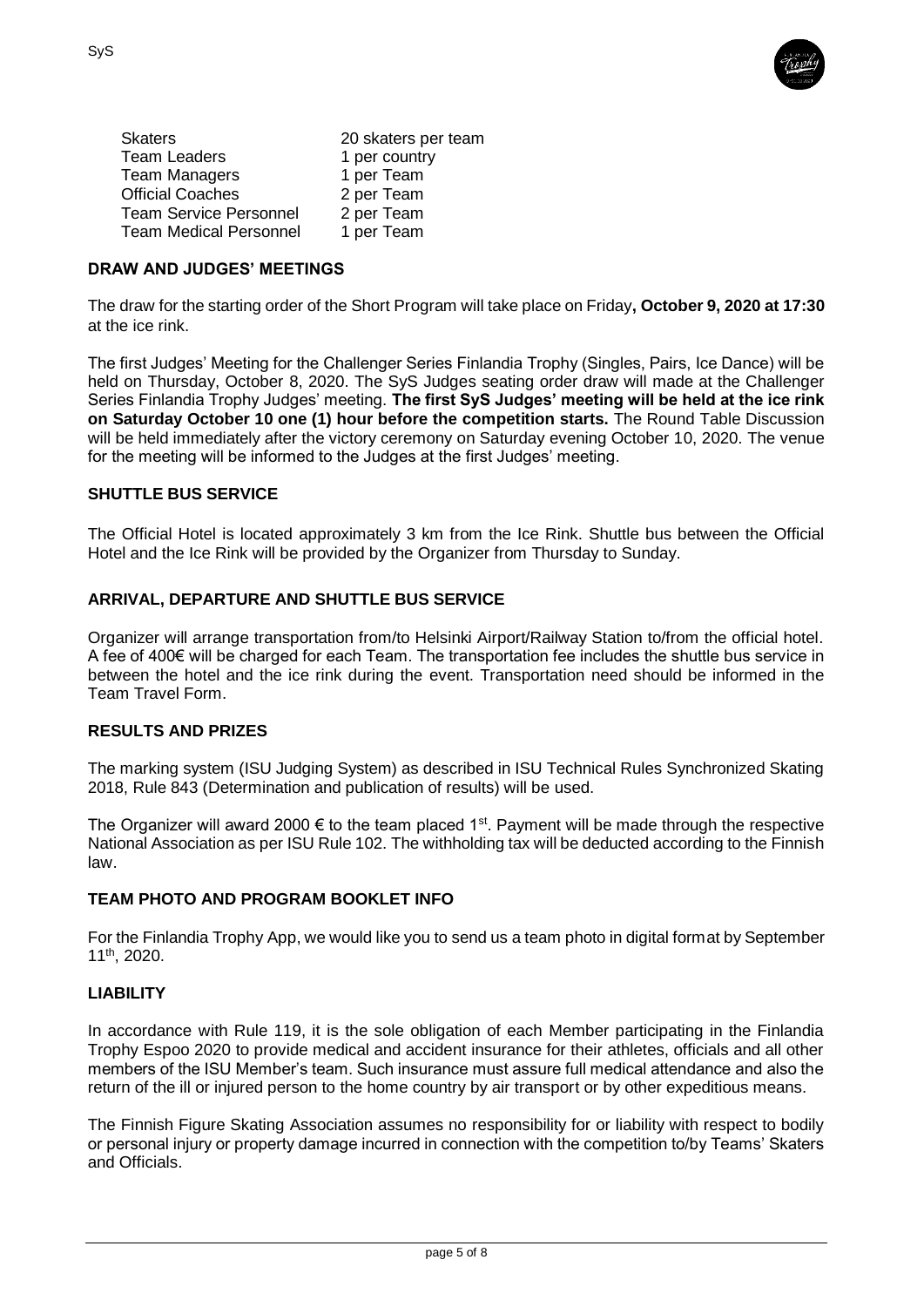

| 20 skaters per team |
|---------------------|
| 1 per country       |
| 1 per Team          |
| 2 per Team          |
| 2 per Team          |
| 1 per Team          |
|                     |

## **DRAW AND JUDGES' MEETINGS**

The draw for the starting order of the Short Program will take place on Friday**, October 9, 2020 at 17:30** at the ice rink.

The first Judges' Meeting for the Challenger Series Finlandia Trophy (Singles, Pairs, Ice Dance) will be held on Thursday, October 8, 2020. The SyS Judges seating order draw will made at the Challenger Series Finlandia Trophy Judges' meeting. **The first SyS Judges' meeting will be held at the ice rink on Saturday October 10 one (1) hour before the competition starts.** The Round Table Discussion will be held immediately after the victory ceremony on Saturday evening October 10, 2020. The venue for the meeting will be informed to the Judges at the first Judges' meeting.

#### **SHUTTLE BUS SERVICE**

The Official Hotel is located approximately 3 km from the Ice Rink. Shuttle bus between the Official Hotel and the Ice Rink will be provided by the Organizer from Thursday to Sunday.

## **ARRIVAL, DEPARTURE AND SHUTTLE BUS SERVICE**

Organizer will arrange transportation from/to Helsinki Airport/Railway Station to/from the official hotel. A fee of 400€ will be charged for each Team. The transportation fee includes the shuttle bus service in between the hotel and the ice rink during the event. Transportation need should be informed in the Team Travel Form.

## **RESULTS AND PRIZES**

The marking system (ISU Judging System) as described in ISU Technical Rules Synchronized Skating 2018, Rule 843 (Determination and publication of results) will be used.

The Organizer will award 2000  $\epsilon$  to the team placed 1<sup>st</sup>. Payment will be made through the respective National Association as per ISU Rule 102. The withholding tax will be deducted according to the Finnish law.

#### **TEAM PHOTO AND PROGRAM BOOKLET INFO**

For the Finlandia Trophy App, we would like you to send us a team photo in digital format by September 11th, 2020.

## **LIABILITY**

In accordance with Rule 119, it is the sole obligation of each Member participating in the Finlandia Trophy Espoo 2020 to provide medical and accident insurance for their athletes, officials and all other members of the ISU Member's team. Such insurance must assure full medical attendance and also the return of the ill or injured person to the home country by air transport or by other expeditious means.

The Finnish Figure Skating Association assumes no responsibility for or liability with respect to bodily or personal injury or property damage incurred in connection with the competition to/by Teams' Skaters and Officials.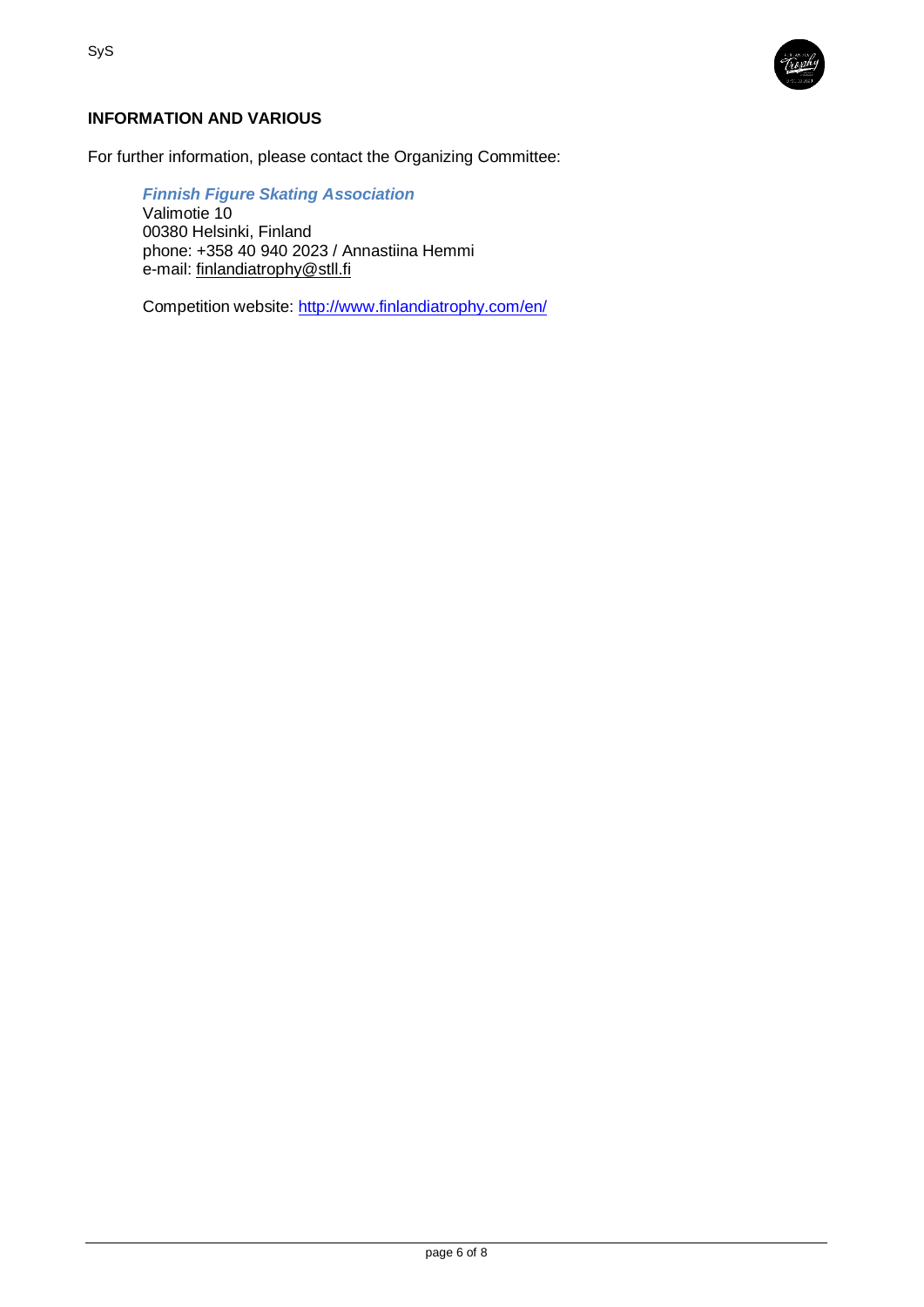

# **INFORMATION AND VARIOUS**

For further information, please contact the Organizing Committee:

*Finnish Figure Skating Association* Valimotie 10 00380 Helsinki, Finland phone: +358 40 940 2023 / Annastiina Hemmi e-mail: [finlandiatrophy@stll.fi](mailto:finlandiatrophy@stll.fi)

Competition website:<http://www.finlandiatrophy.com/en/>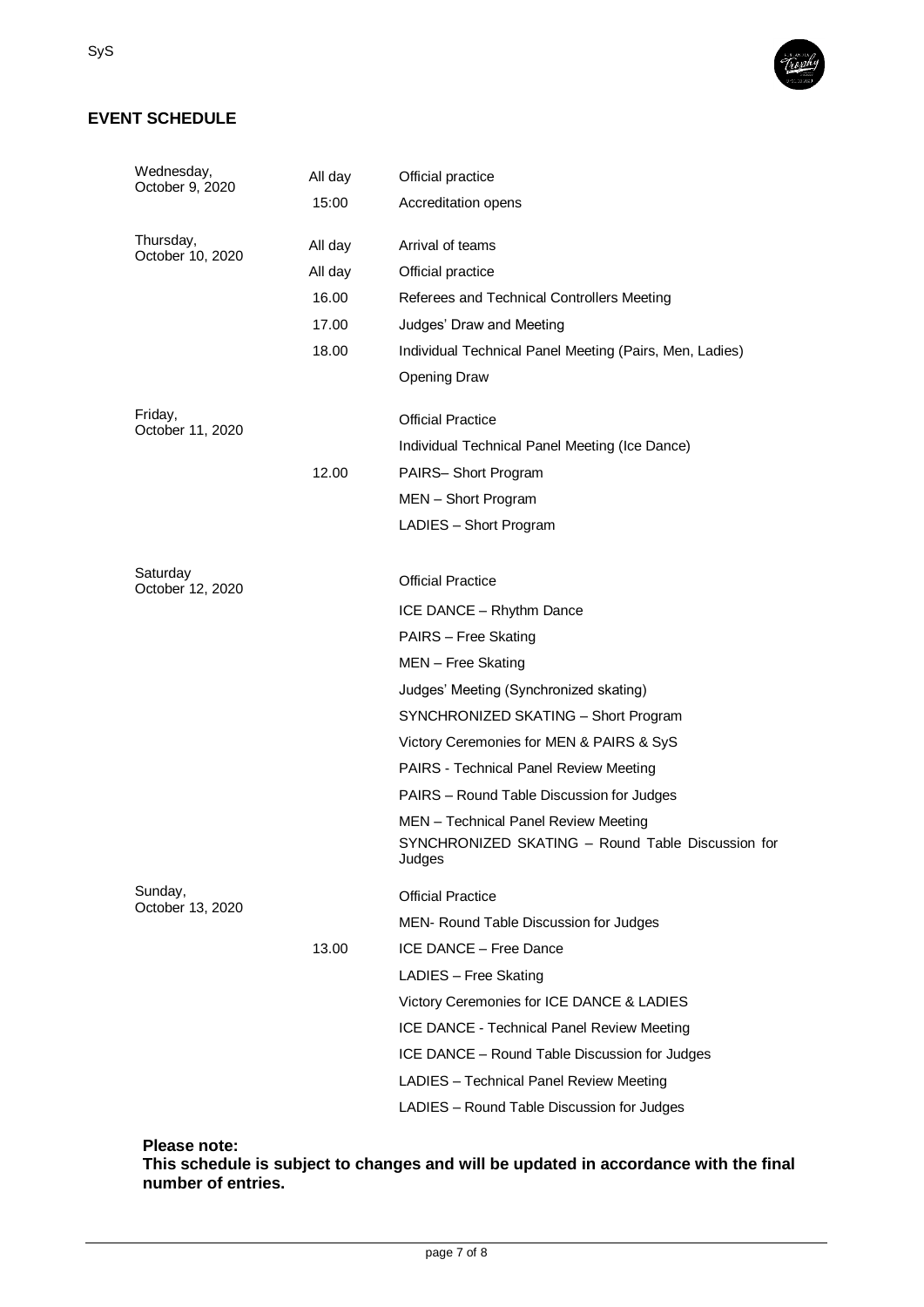# **EVENT SCHEDULE**

| Wednesday,<br>October 9, 2020 | All day | Official practice                                           |  |
|-------------------------------|---------|-------------------------------------------------------------|--|
|                               | 15:00   | Accreditation opens                                         |  |
| Thursday,                     |         |                                                             |  |
| October 10, 2020              | All day | Arrival of teams                                            |  |
|                               | All day | Official practice                                           |  |
|                               | 16.00   | Referees and Technical Controllers Meeting                  |  |
|                               | 17.00   | Judges' Draw and Meeting                                    |  |
|                               | 18.00   | Individual Technical Panel Meeting (Pairs, Men, Ladies)     |  |
|                               |         | <b>Opening Draw</b>                                         |  |
| Friday,                       |         | <b>Official Practice</b>                                    |  |
| October 11, 2020              |         | Individual Technical Panel Meeting (Ice Dance)              |  |
|                               | 12.00   | PAIRS-Short Program                                         |  |
|                               |         | MEN - Short Program                                         |  |
|                               |         | LADIES - Short Program                                      |  |
|                               |         |                                                             |  |
| Saturday<br>October 12, 2020  |         | <b>Official Practice</b>                                    |  |
|                               |         | ICE DANCE - Rhythm Dance                                    |  |
|                               |         | PAIRS - Free Skating                                        |  |
|                               |         | MEN - Free Skating                                          |  |
|                               |         | Judges' Meeting (Synchronized skating)                      |  |
|                               |         | SYNCHRONIZED SKATING - Short Program                        |  |
|                               |         | Victory Ceremonies for MEN & PAIRS & SyS                    |  |
|                               |         | PAIRS - Technical Panel Review Meeting                      |  |
|                               |         | PAIRS - Round Table Discussion for Judges                   |  |
|                               |         | MEN - Technical Panel Review Meeting                        |  |
|                               |         | SYNCHRONIZED SKATING - Round Table Discussion for<br>Judges |  |
| Sunday,<br>October 13, 2020   |         | <b>Official Practice</b>                                    |  |
|                               |         | MEN- Round Table Discussion for Judges                      |  |
|                               | 13.00   | ICE DANCE - Free Dance                                      |  |
|                               |         | LADIES - Free Skating                                       |  |
|                               |         | Victory Ceremonies for ICE DANCE & LADIES                   |  |
|                               |         | ICE DANCE - Technical Panel Review Meeting                  |  |
|                               |         | ICE DANCE - Round Table Discussion for Judges               |  |
|                               |         | LADIES - Technical Panel Review Meeting                     |  |
|                               |         | LADIES - Round Table Discussion for Judges                  |  |
|                               |         |                                                             |  |

**Please note:**

**This schedule is subject to changes and will be updated in accordance with the final number of entries.**